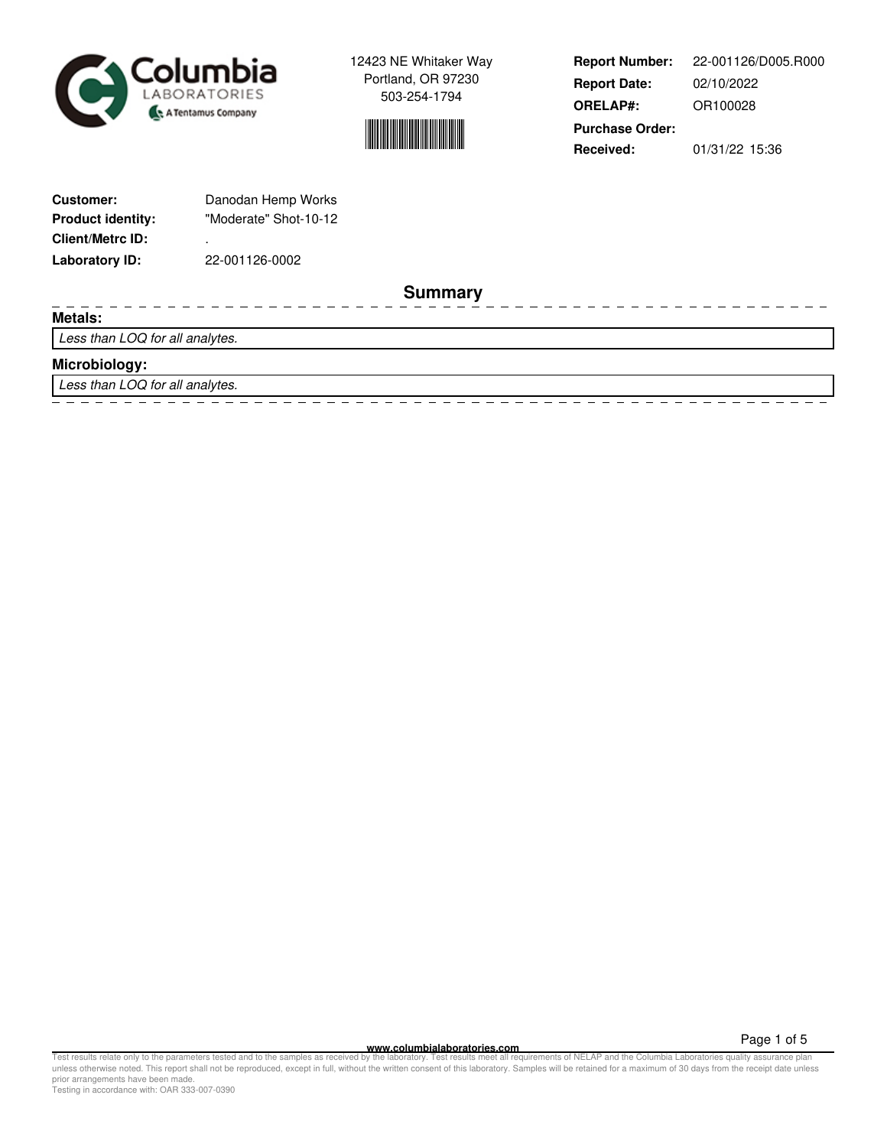



**Report Number: Report Date: ORELAP#:** 02/10/2022 OR100028 **Received:** 01/31/22 15:36 **Purchase Order:** 22-001126/D005.R000

| <b>Customer:</b>         | Danodan Hemp Works    |
|--------------------------|-----------------------|
| <b>Product identity:</b> | "Moderate" Shot-10-12 |
| <b>Client/Metrc ID:</b>  | ٠                     |
| <b>Laboratory ID:</b>    | 22-001126-0002        |

**Summary**

**Metals:**

Less than LOQ for all analytes.

## **Microbiology:**

Less than LOQ for all analytes.

**www.columbialaboratories.com**

Page 1 of 5

Test results relate only to the parameters tested and to the samples as received by the laboratory. Test results meet all requirements of NELAP and the Columbia Laboratories quality assurance plan<br>unless otherwise noted. T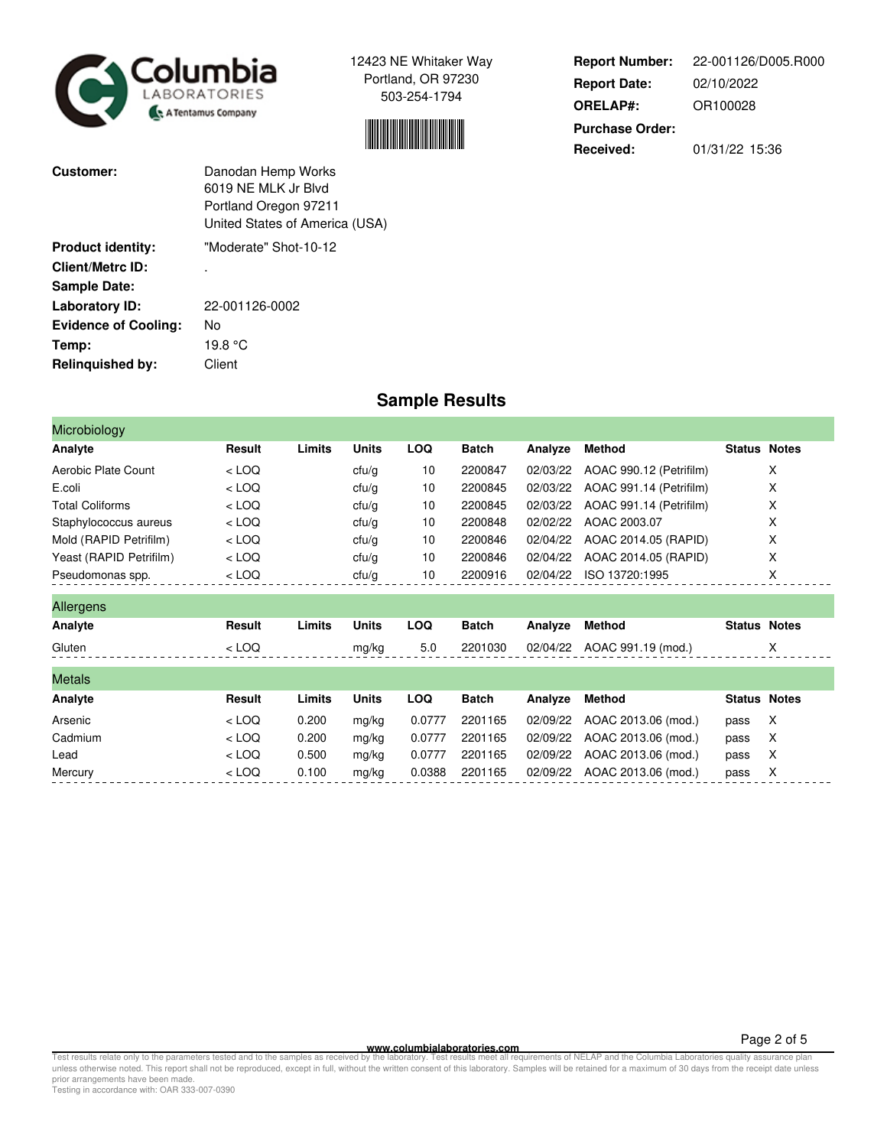



**Report Number: Report Date: ORELAP#:** 02/10/2022 OR100028 **Received:** 01/31/22 15:36 **Purchase Order:** 22-001126/D005.R000

| Customer:                   | Danodan Hemp Works<br>6019 NF MLK Jr Blvd<br>Portland Oregon 97211<br>United States of America (USA) |
|-----------------------------|------------------------------------------------------------------------------------------------------|
| <b>Product identity:</b>    | "Moderate" Shot-10-12                                                                                |
| <b>Client/Metrc ID:</b>     | ٠                                                                                                    |
| <b>Sample Date:</b>         |                                                                                                      |
| Laboratory ID:              | 22-001126-0002                                                                                       |
| <b>Evidence of Cooling:</b> | No                                                                                                   |
| Temp:                       | 19.8 °C                                                                                              |
| Relinquished by:            | Client                                                                                               |

## **Sample Results**

| Microbiology            |         |        |              |            |              |          |                               |                     |              |
|-------------------------|---------|--------|--------------|------------|--------------|----------|-------------------------------|---------------------|--------------|
| Analyte                 | Result  | Limits | <b>Units</b> | <b>LOQ</b> | <b>Batch</b> | Analyze  | Method                        | <b>Status</b>       | <b>Notes</b> |
| Aerobic Plate Count     | $<$ LOQ |        | ctu/g        | 10         | 2200847      | 02/03/22 | AOAC 990.12 (Petrifilm)       |                     | X            |
| E.coli                  | $<$ LOQ |        | ctu/g        | 10         | 2200845      | 02/03/22 | AOAC 991.14 (Petrifilm)       |                     | х            |
| <b>Total Coliforms</b>  | $<$ LOQ |        | ctu/g        | 10         | 2200845      | 02/03/22 | AOAC 991.14 (Petrifilm)       |                     | х            |
| Staphylococcus aureus   | $<$ LOQ |        | ctu/g        | 10         | 2200848      | 02/02/22 | AOAC 2003.07                  |                     | х            |
| Mold (RAPID Petrifilm)  | $<$ LOQ |        | ctu/g        | 10         | 2200846      | 02/04/22 | AOAC 2014.05 (RAPID)          |                     | х            |
| Yeast (RAPID Petrifilm) | $<$ LOQ |        | ctu/g        | 10         | 2200846      | 02/04/22 | AOAC 2014.05 (RAPID)          |                     | X            |
| Pseudomonas spp.        | $<$ LOQ |        | cfu/g        | 10         | 2200916      | 02/04/22 | ISO 13720:1995                |                     | х            |
| Allergens               |         |        |              |            |              |          |                               |                     |              |
| Analyte                 | Result  | Limits | <b>Units</b> | <b>LOQ</b> | <b>Batch</b> | Analyze  | <b>Status Notes</b><br>Method |                     |              |
| Gluten                  | $<$ LOQ |        | mg/kg        | 5.0        | 2201030      | 02/04/22 | AOAC 991.19 (mod.)            |                     | X            |
| <b>Metals</b>           |         |        |              |            |              |          |                               |                     |              |
| Analyte                 | Result  | Limits | <b>Units</b> | <b>LOQ</b> | <b>Batch</b> | Analyze  | Method                        | <b>Status Notes</b> |              |
| Arsenic                 | $<$ LOQ | 0.200  | mg/kg        | 0.0777     | 2201165      | 02/09/22 | AOAC 2013.06 (mod.)           | pass                | X            |
| Cadmium                 | $<$ LOQ | 0.200  | mg/kg        | 0.0777     | 2201165      | 02/09/22 | AOAC 2013.06 (mod.)           | pass                | X            |
| Lead                    | $<$ LOQ | 0.500  | mg/kg        | 0.0777     | 2201165      | 02/09/22 | AOAC 2013.06 (mod.)           | pass                | X            |
| Mercury                 | $<$ LOQ | 0.100  | mg/kg        | 0.0388     | 2201165      | 02/09/22 | AOAC 2013.06 (mod.)           | pass                | х            |

**WWW.columbialaboratories.com**<br>unless otherwise noted. This report shall not be reproduced, except in full, without the varitten consent of this laboratory. Test results meet all requirements of NELAP and the Columbia Labo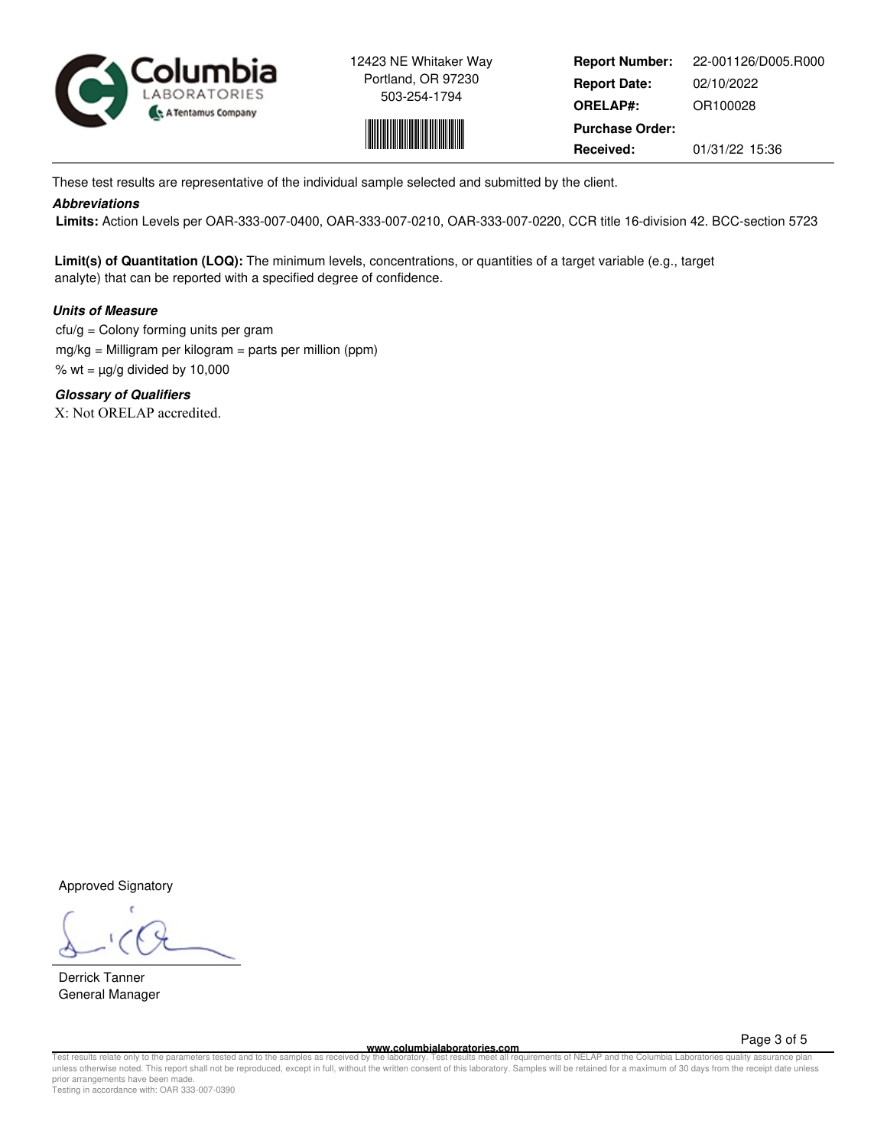



**Report Number: Report Date: ORELAP#:** 02/10/2022 OR100028 **Received:** 01/31/22 15:36 **Purchase Order:** 22-001126/D005.R000

These test results are representative of the individual sample selected and submitted by the client.

## **Abbreviations**

 **Limits:** Action Levels per OAR-333-007-0400, OAR-333-007-0210, OAR-333-007-0220, CCR title 16-division 42. BCC-section 5723

**Limit(s) of Quantitation (LOQ):** The minimum levels, concentrations, or quantities of a target variable (e.g., target analyte) that can be reported with a specified degree of confidence.

## **Units of Measure**

 $ctu/g =$  Colony forming units per gram mg/kg = Milligram per kilogram = parts per million (ppm) % wt =  $\mu$ g/g divided by 10,000

**Glossary of Qualifiers** X: Not ORELAP accredited.

Approved Signatory

Derrick Tanner General Manager

**www.columbialaboratories.com**

Page 3 of 5

Test results relate only to the parameters tested and to the samples as received by the laboratory. Test results meet all requirements of NELAP and the Columbia Laboratories quality assurance plan<br>unless otherwise noted. T prior arrangements have been made. Testing in accordance with: OAR 333-007-0390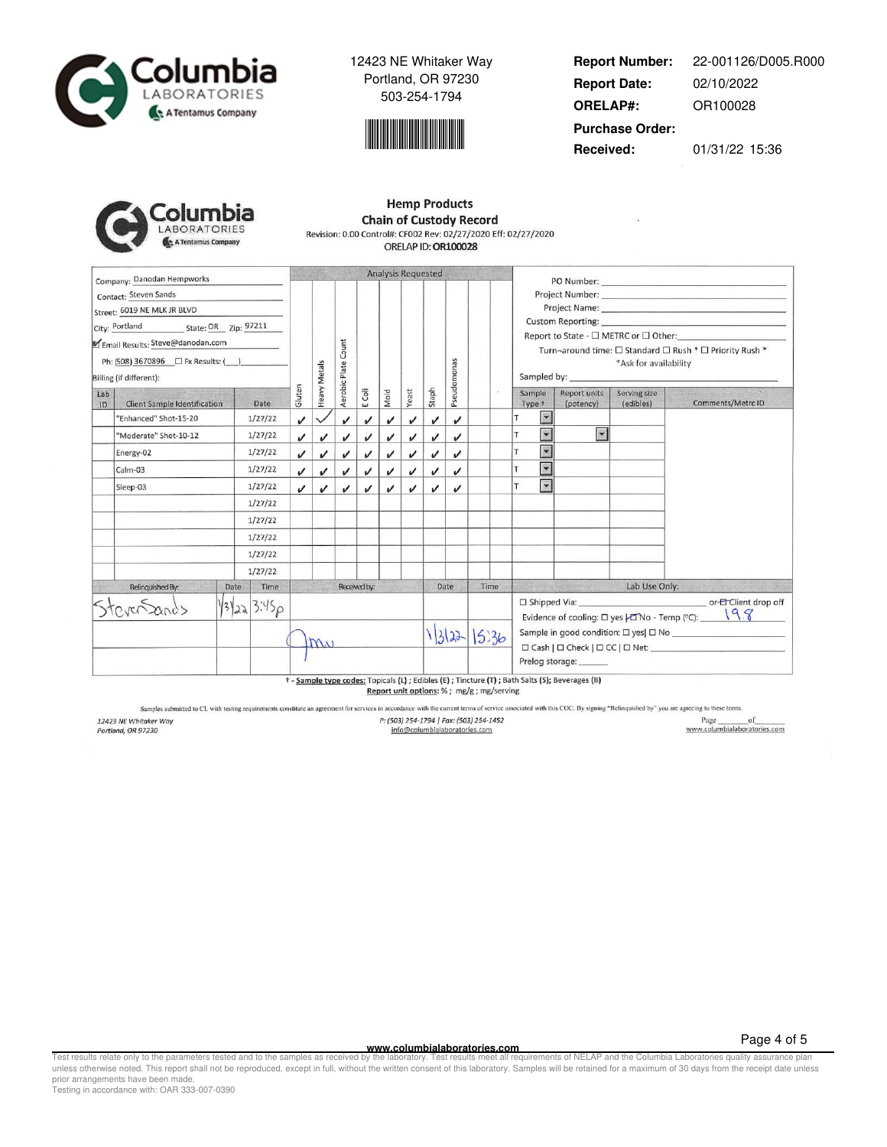



**Report Number: Report Date: ORELAP#:** 02/10/2022 OR100028 **Received:** 01/31/22 15:36 **Purchase Order:** 22-001126/D005.R000

Columbia ABORATORIES A Tentamus Company

**Hemp Products Chain of Custody Record** Revision: 0.00 Control#: CF002 Rev: 02/27/2020 Eff: 02/27/2020 ORELAP ID: OR100028

| Ph: (508) 3670896 □ Fx Results: ( )<br>Gluten<br>Date<br>1/27/22<br>$\boldsymbol{\mathcal{U}}$ | Heavy Metals                          | Count<br>Aerobic Plate |              |      |                            |                            |             |      |                                                                                                                                                                                                                                                                                                                |                                                                                                                                                                            |                           |                                                                                                                                               |  |
|------------------------------------------------------------------------------------------------|---------------------------------------|------------------------|--------------|------|----------------------------|----------------------------|-------------|------|----------------------------------------------------------------------------------------------------------------------------------------------------------------------------------------------------------------------------------------------------------------------------------------------------------------|----------------------------------------------------------------------------------------------------------------------------------------------------------------------------|---------------------------|-----------------------------------------------------------------------------------------------------------------------------------------------|--|
|                                                                                                |                                       |                        |              |      |                            |                            | Pseudomonas |      |                                                                                                                                                                                                                                                                                                                | Custom Reporting: Custom Reporting:<br>Report to State - $\Box$ METRC or $\Box$ Other:<br>Turn-around time: □ Standard □ Rush * □ Priority Rush *<br>*Ask for availability |                           |                                                                                                                                               |  |
|                                                                                                |                                       |                        | E Coli       | Mold | Yeast                      | Staph                      |             |      | Sample<br>Type +                                                                                                                                                                                                                                                                                               | Report units<br>(potency)                                                                                                                                                  | Serving size<br>(edibles) | Comments/Metrc ID                                                                                                                             |  |
|                                                                                                |                                       | $\boldsymbol{\nu}$     | $\checkmark$ | ✓    | $\checkmark$               | $\checkmark$               | v           |      | $\overline{\phantom{a}}$                                                                                                                                                                                                                                                                                       |                                                                                                                                                                            |                           |                                                                                                                                               |  |
| 1/27/22<br>$\boldsymbol{\nu}$                                                                  | $\boldsymbol{\mathcal{U}}$            | J                      | J            | v    | $\boldsymbol{\nu}$         | J                          | ✓           |      | $\blacktriangleleft$                                                                                                                                                                                                                                                                                           | $\blacktriangledown$                                                                                                                                                       |                           |                                                                                                                                               |  |
| 1/27/22<br>J                                                                                   | $\checkmark$                          | J                      | J            | J    | ✓                          | J                          | J           |      | $\blacktriangledown$                                                                                                                                                                                                                                                                                           |                                                                                                                                                                            |                           |                                                                                                                                               |  |
| 1/27/22<br>J                                                                                   | J                                     | J                      | J            | ✓    | ✓                          | $\boldsymbol{\mathcal{U}}$ | v           |      | ×<br>T                                                                                                                                                                                                                                                                                                         |                                                                                                                                                                            |                           |                                                                                                                                               |  |
| 1/27/22<br>J                                                                                   | J                                     | v                      | J            | v    | $\boldsymbol{\mathcal{U}}$ | ✓                          | J           |      | $\blacktriangledown$                                                                                                                                                                                                                                                                                           |                                                                                                                                                                            |                           |                                                                                                                                               |  |
| 1/27/22                                                                                        |                                       |                        |              |      |                            |                            |             |      |                                                                                                                                                                                                                                                                                                                |                                                                                                                                                                            |                           |                                                                                                                                               |  |
| 1/27/22                                                                                        |                                       |                        |              |      |                            |                            |             |      |                                                                                                                                                                                                                                                                                                                |                                                                                                                                                                            |                           |                                                                                                                                               |  |
|                                                                                                |                                       |                        |              |      |                            |                            |             |      |                                                                                                                                                                                                                                                                                                                |                                                                                                                                                                            |                           |                                                                                                                                               |  |
|                                                                                                |                                       |                        |              |      |                            |                            |             |      |                                                                                                                                                                                                                                                                                                                |                                                                                                                                                                            |                           |                                                                                                                                               |  |
|                                                                                                |                                       |                        |              |      |                            |                            |             |      |                                                                                                                                                                                                                                                                                                                |                                                                                                                                                                            |                           |                                                                                                                                               |  |
|                                                                                                |                                       |                        |              |      |                            |                            |             | Time |                                                                                                                                                                                                                                                                                                                |                                                                                                                                                                            |                           |                                                                                                                                               |  |
| 13223.3.450<br>$M_{\Lambda}$                                                                   |                                       |                        |              |      |                            |                            |             |      | □ Shipped Via: contract and contract of the contract of the contract of the contract of the contract of the contract of the contract of the contract of the contract of the contract of the contract of the contract of the c<br>Evidence of cooling: $\square$ yes $\nparallel$ TNo - Temp (°C): $\sqrt{9.8}$ |                                                                                                                                                                            |                           |                                                                                                                                               |  |
|                                                                                                | 1/27/22<br>1/27/22<br>1/27/22<br>Time |                        |              |      | Received by:               |                            |             | Date | 1322                                                                                                                                                                                                                                                                                                           | 15.36                                                                                                                                                                      |                           | Lab Use Only:<br>Prelog storage: _______<br>4. Concels from and as Texterly (I.) - Filther (F) - Timphers (T) - Dath Colte (C): Docconoca (B) |  |

t - Sample type codes: Topicals (L) ; Edibles (E) ; Tincture (T) ; Bath Salts (S); Beverages (B) Report unit options: %; mg/g; mg/serving

Samples submitted to CL with testing requirements constitute an agreement for services in accordance with the current terms of service associated with this COC. By signing "Relinquished by" you are agreeing to these terms.

12423 NE Whitaker Way<br>Portland, OR 97230

P: (503) 254-1794 | Fax: (503) 254-1452 info@columbialaboratories.com

 $\begin{tabular}{c} Page \hspace{0.2cm} of \\ \hline www.columbiaaboratories.com \\ \end{tabular}$ 

**WWW.columbialaboratories.com**<br>unless otherwise noted. This report shall not be reproduced, except in full, without the varitten consent of this laboratory. Test results meet all requirements of NELAP and the Columbia Labo